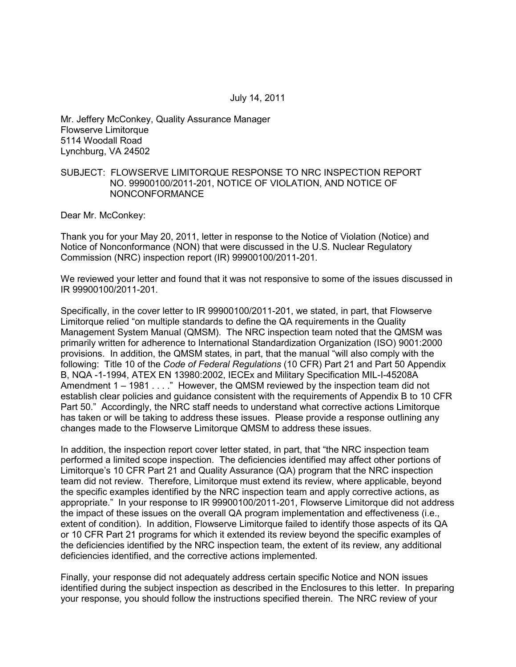Mr. Jeffery McConkey, Quality Assurance Manager Flowserve Limitorque 5114 Woodall Road Lynchburg, VA 24502

### SUBJECT: FLOWSERVE LIMITORQUE RESPONSE TO NRC INSPECTION REPORT NO. 99900100/2011-201, NOTICE OF VIOLATION, AND NOTICE OF NONCONFORMANCE

Dear Mr. McConkey:

Thank you for your May 20, 2011, letter in response to the Notice of Violation (Notice) and Notice of Nonconformance (NON) that were discussed in the U.S. Nuclear Regulatory Commission (NRC) inspection report (IR) 99900100/2011-201.

We reviewed your letter and found that it was not responsive to some of the issues discussed in IR 99900100/2011-201.

Specifically, in the cover letter to IR 99900100/2011-201, we stated, in part, that Flowserve Limitorque relied "on multiple standards to define the QA requirements in the Quality Management System Manual (QMSM). The NRC inspection team noted that the QMSM was primarily written for adherence to International Standardization Organization (ISO) 9001:2000 provisions. In addition, the QMSM states, in part, that the manual "will also comply with the following: Title 10 of the *Code of Federal Regulations* (10 CFR) Part 21 and Part 50 Appendix B, NQA -1-1994, ATEX EN 13980:2002, IECEx and Military Specification MIL-I-45208A Amendment 1 – 1981 . . . ." However, the QMSM reviewed by the inspection team did not establish clear policies and guidance consistent with the requirements of Appendix B to 10 CFR Part 50." Accordingly, the NRC staff needs to understand what corrective actions Limitorque has taken or will be taking to address these issues. Please provide a response outlining any changes made to the Flowserve Limitorque QMSM to address these issues.

In addition, the inspection report cover letter stated, in part, that "the NRC inspection team performed a limited scope inspection. The deficiencies identified may affect other portions of Limitorque's 10 CFR Part 21 and Quality Assurance (QA) program that the NRC inspection team did not review. Therefore, Limitorque must extend its review, where applicable, beyond the specific examples identified by the NRC inspection team and apply corrective actions, as appropriate." In your response to IR 99900100/2011-201, Flowserve Limitorque did not address the impact of these issues on the overall QA program implementation and effectiveness (i.e., extent of condition). In addition, Flowserve Limitorque failed to identify those aspects of its QA or 10 CFR Part 21 programs for which it extended its review beyond the specific examples of the deficiencies identified by the NRC inspection team, the extent of its review, any additional deficiencies identified, and the corrective actions implemented.

Finally, your response did not adequately address certain specific Notice and NON issues identified during the subject inspection as described in the Enclosures to this letter. In preparing your response, you should follow the instructions specified therein. The NRC review of your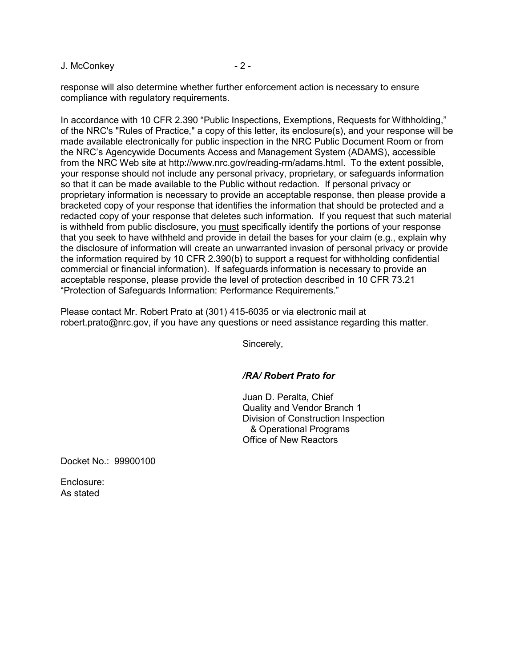J. McConkey - 2 -

response will also determine whether further enforcement action is necessary to ensure compliance with regulatory requirements.

In accordance with 10 CFR 2.390 "Public Inspections, Exemptions, Requests for Withholding," of the NRC's "Rules of Practice," a copy of this letter, its enclosure(s), and your response will be made available electronically for public inspection in the NRC Public Document Room or from the NRC's Agencywide Documents Access and Management System (ADAMS), accessible from the NRC Web site at http://www.nrc.gov/reading-rm/adams.html. To the extent possible, your response should not include any personal privacy, proprietary, or safeguards information so that it can be made available to the Public without redaction. If personal privacy or proprietary information is necessary to provide an acceptable response, then please provide a bracketed copy of your response that identifies the information that should be protected and a redacted copy of your response that deletes such information. If you request that such material is withheld from public disclosure, you must specifically identify the portions of your response that you seek to have withheld and provide in detail the bases for your claim (e.g., explain why the disclosure of information will create an unwarranted invasion of personal privacy or provide the information required by 10 CFR 2.390(b) to support a request for withholding confidential commercial or financial information). If safeguards information is necessary to provide an acceptable response, please provide the level of protection described in 10 CFR 73.21 "Protection of Safeguards Information: Performance Requirements."

Please contact Mr. Robert Prato at (301) 415-6035 or via electronic mail at robert.prato@nrc.gov, if you have any questions or need assistance regarding this matter.

Sincerely,

### */RA/ Robert Prato for*

Juan D. Peralta, Chief Quality and Vendor Branch 1 Division of Construction Inspection & Operational Programs Office of New Reactors

Docket No.: 99900100

Enclosure: As stated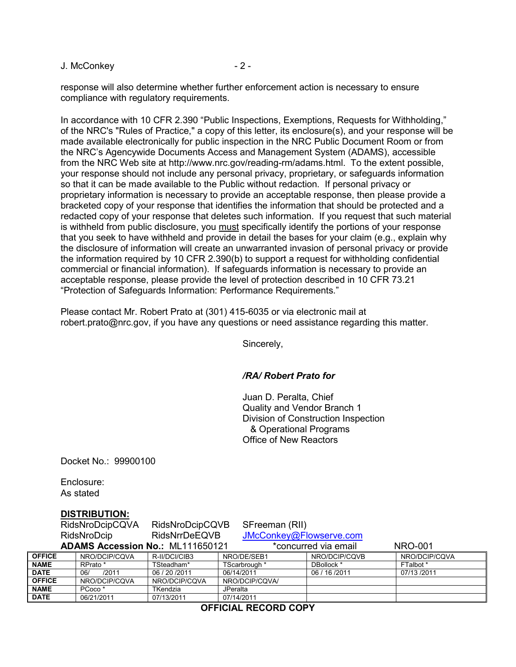J. McConkey - 2 -

response will also determine whether further enforcement action is necessary to ensure compliance with regulatory requirements.

In accordance with 10 CFR 2.390 "Public Inspections, Exemptions, Requests for Withholding," of the NRC's "Rules of Practice," a copy of this letter, its enclosure(s), and your response will be made available electronically for public inspection in the NRC Public Document Room or from the NRC's Agencywide Documents Access and Management System (ADAMS), accessible from the NRC Web site at http://www.nrc.gov/reading-rm/adams.html. To the extent possible, your response should not include any personal privacy, proprietary, or safeguards information so that it can be made available to the Public without redaction. If personal privacy or proprietary information is necessary to provide an acceptable response, then please provide a bracketed copy of your response that identifies the information that should be protected and a redacted copy of your response that deletes such information. If you request that such material is withheld from public disclosure, you must specifically identify the portions of your response that you seek to have withheld and provide in detail the bases for your claim (e.g., explain why the disclosure of information will create an unwarranted invasion of personal privacy or provide the information required by 10 CFR 2.390(b) to support a request for withholding confidential commercial or financial information). If safeguards information is necessary to provide an acceptable response, please provide the level of protection described in 10 CFR 73.21 "Protection of Safeguards Information: Performance Requirements."

Please contact Mr. Robert Prato at (301) 415-6035 or via electronic mail at robert.prato@nrc.gov, if you have any questions or need assistance regarding this matter.

Sincerely,

### */RA/ Robert Prato for*

Juan D. Peralta, Chief Quality and Vendor Branch 1 Division of Construction Inspection & Operational Programs Office of New Reactors

Docket No.: 99900100

Enclosure: As stated

### **DISTRIBUTION:**

|                                                                                   | RidsNroDcipCQVA    | RidsNroDcipCQVB      | SFreeman (RII)          |                |               |
|-----------------------------------------------------------------------------------|--------------------|----------------------|-------------------------|----------------|---------------|
| RidsNroDcip                                                                       |                    | <b>RidsNrrDeEQVB</b> | JMcConkey@Flowserve.com |                |               |
| <b>ADAMS Accession No.: ML111650121</b><br>*concurred via email<br><b>NRO-001</b> |                    |                      |                         |                |               |
| <b>OFFICE</b>                                                                     | NRO/DCIP/CQVA      | R-II/DCI/CIB3        | NRO/DE/SEB1             | NRO/DCIP/CQVB  | NRO/DCIP/CQVA |
| <b>NAME</b>                                                                       | RPrato *           | TSteadham*           | TScarbrough *           | DBollock *     | FTalbot*      |
| <b>DATE</b>                                                                       | /2011<br>06/       | 06 / 20 / 2011       | 06/14/2011              | 06 / 16 / 2011 | 07/13/2011    |
| <b>OFFICE</b>                                                                     | NRO/DCIP/CQVA      | NRO/DCIP/CQVA        | NRO/DCIP/CQVA/          |                |               |
| <b>NAME</b>                                                                       | PCoco <sup>*</sup> | <b>TKendzia</b>      | <b>JPeralta</b>         |                |               |
| <b>DATE</b>                                                                       | 06/21/2011         | 07/13/2011           | 07/14/2011              |                |               |

**OFFICIAL RECORD COPY**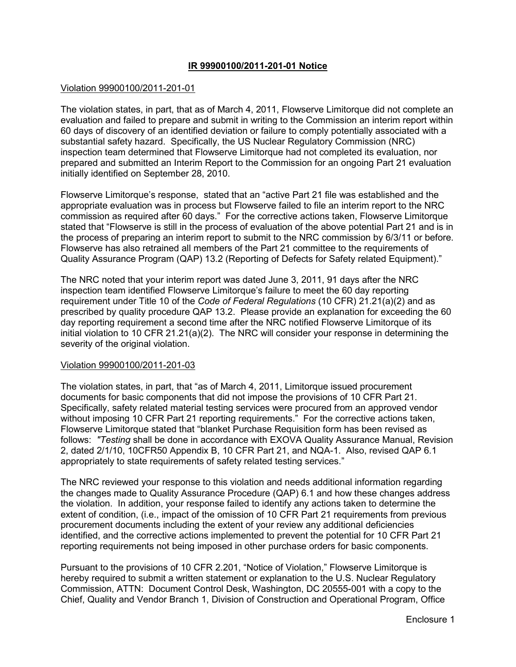# **IR 99900100/2011-201-01 Notice**

#### Violation 99900100/2011-201-01

The violation states, in part, that as of March 4, 2011, Flowserve Limitorque did not complete an evaluation and failed to prepare and submit in writing to the Commission an interim report within 60 days of discovery of an identified deviation or failure to comply potentially associated with a substantial safety hazard. Specifically, the US Nuclear Regulatory Commission (NRC) inspection team determined that Flowserve Limitorque had not completed its evaluation, nor prepared and submitted an Interim Report to the Commission for an ongoing Part 21 evaluation initially identified on September 28, 2010.

Flowserve Limitorque's response, stated that an "active Part 21 file was established and the appropriate evaluation was in process but Flowserve failed to file an interim report to the NRC commission as required after 60 days." For the corrective actions taken, Flowserve Limitorque stated that "Flowserve is still in the process of evaluation of the above potential Part 21 and is in the process of preparing an interim report to submit to the NRC commission by 6/3/11 or before. Flowserve has also retrained all members of the Part 21 committee to the requirements of Quality Assurance Program (QAP) 13.2 (Reporting of Defects for Safety related Equipment)."

The NRC noted that your interim report was dated June 3, 2011, 91 days after the NRC inspection team identified Flowserve Limitorque's failure to meet the 60 day reporting requirement under Title 10 of the *Code of Federal Regulations* (10 CFR) 21.21(a)(2) and as prescribed by quality procedure QAP 13.2. Please provide an explanation for exceeding the 60 day reporting requirement a second time after the NRC notified Flowserve Limitorque of its initial violation to 10 CFR 21.21(a)(2). The NRC will consider your response in determining the severity of the original violation.

### Violation 99900100/2011-201-03

The violation states, in part, that "as of March 4, 2011, Limitorque issued procurement documents for basic components that did not impose the provisions of 10 CFR Part 21. Specifically, safety related material testing services were procured from an approved vendor without imposing 10 CFR Part 21 reporting requirements." For the corrective actions taken, Flowserve Limitorque stated that "blanket Purchase Requisition form has been revised as follows: *"Testing* shall be done in accordance with EXOVA Quality Assurance Manual, Revision 2, dated 2/1/10, 10CFR50 Appendix B, 10 CFR Part 21, and NQA-1. Also, revised QAP 6.1 appropriately to state requirements of safety related testing services."

The NRC reviewed your response to this violation and needs additional information regarding the changes made to Quality Assurance Procedure (QAP) 6.1 and how these changes address the violation. In addition, your response failed to identify any actions taken to determine the extent of condition, (i.e., impact of the omission of 10 CFR Part 21 requirements from previous procurement documents including the extent of your review any additional deficiencies identified, and the corrective actions implemented to prevent the potential for 10 CFR Part 21 reporting requirements not being imposed in other purchase orders for basic components.

Pursuant to the provisions of 10 CFR 2.201, "Notice of Violation," Flowserve Limitorque is hereby required to submit a written statement or explanation to the U.S. Nuclear Regulatory Commission, ATTN: Document Control Desk, Washington, DC 20555-001 with a copy to the Chief, Quality and Vendor Branch 1, Division of Construction and Operational Program, Office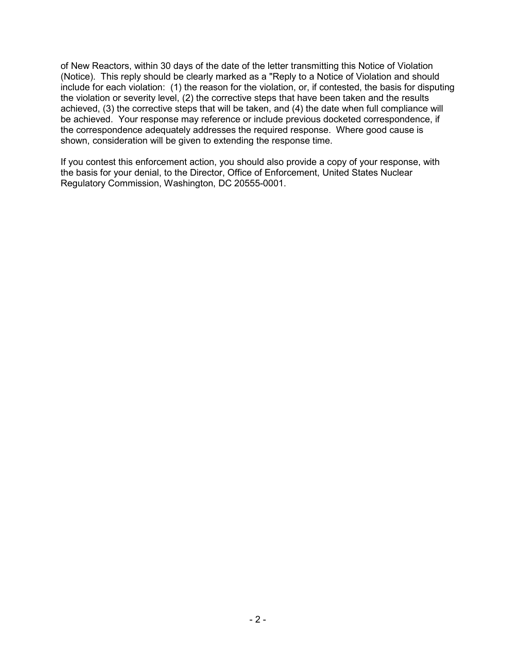of New Reactors, within 30 days of the date of the letter transmitting this Notice of Violation (Notice). This reply should be clearly marked as a "Reply to a Notice of Violation and should include for each violation: (1) the reason for the violation, or, if contested, the basis for disputing the violation or severity level, (2) the corrective steps that have been taken and the results achieved, (3) the corrective steps that will be taken, and (4) the date when full compliance will be achieved. Your response may reference or include previous docketed correspondence, if the correspondence adequately addresses the required response. Where good cause is shown, consideration will be given to extending the response time.

If you contest this enforcement action, you should also provide a copy of your response, with the basis for your denial, to the Director, Office of Enforcement, United States Nuclear Regulatory Commission, Washington, DC 20555-0001.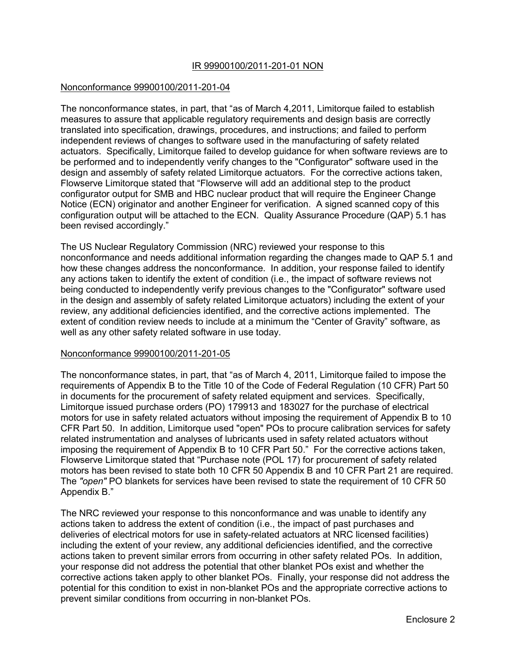### IR 99900100/2011-201-01 NON

### Nonconformance 99900100/2011-201-04

The nonconformance states, in part, that "as of March 4,2011, Limitorque failed to establish measures to assure that applicable regulatory requirements and design basis are correctly translated into specification, drawings, procedures, and instructions; and failed to perform independent reviews of changes to software used in the manufacturing of safety related actuators. Specifically, Limitorque failed to develop guidance for when software reviews are to be performed and to independently verify changes to the "Configurator" software used in the design and assembly of safety related Limitorque actuators. For the corrective actions taken, Flowserve Limitorque stated that "Flowserve will add an additional step to the product configurator output for SMB and HBC nuclear product that will require the Engineer Change Notice (ECN) originator and another Engineer for verification. A signed scanned copy of this configuration output will be attached to the ECN. Quality Assurance Procedure (QAP) 5.1 has been revised accordingly."

The US Nuclear Regulatory Commission (NRC) reviewed your response to this nonconformance and needs additional information regarding the changes made to QAP 5.1 and how these changes address the nonconformance. In addition, your response failed to identify any actions taken to identify the extent of condition (i.e., the impact of software reviews not being conducted to independently verify previous changes to the "Configurator" software used in the design and assembly of safety related Limitorque actuators) including the extent of your review, any additional deficiencies identified, and the corrective actions implemented. The extent of condition review needs to include at a minimum the "Center of Gravity" software, as well as any other safety related software in use today.

### Nonconformance 99900100/2011-201-05

The nonconformance states, in part, that "as of March 4, 2011, Limitorque failed to impose the requirements of Appendix B to the Title 10 of the Code of Federal Regulation (10 CFR) Part 50 in documents for the procurement of safety related equipment and services. Specifically, Limitorque issued purchase orders (PO) 179913 and 183027 for the purchase of electrical motors for use in safety related actuators without imposing the requirement of Appendix B to 10 CFR Part 50. In addition, Limitorque used "open" POs to procure calibration services for safety related instrumentation and analyses of lubricants used in safety related actuators without imposing the requirement of Appendix B to 10 CFR Part 50." For the corrective actions taken, Flowserve Limitorque stated that "Purchase note (POL 17) for procurement of safety related motors has been revised to state both 10 CFR 50 Appendix B and 10 CFR Part 21 are required. The *"open"* PO blankets for services have been revised to state the requirement of 10 CFR 50 Appendix B."

The NRC reviewed your response to this nonconformance and was unable to identify any actions taken to address the extent of condition (i.e., the impact of past purchases and deliveries of electrical motors for use in safety-related actuators at NRC licensed facilities) including the extent of your review, any additional deficiencies identified, and the corrective actions taken to prevent similar errors from occurring in other safety related POs. In addition, your response did not address the potential that other blanket POs exist and whether the corrective actions taken apply to other blanket POs. Finally, your response did not address the potential for this condition to exist in non-blanket POs and the appropriate corrective actions to prevent similar conditions from occurring in non-blanket POs.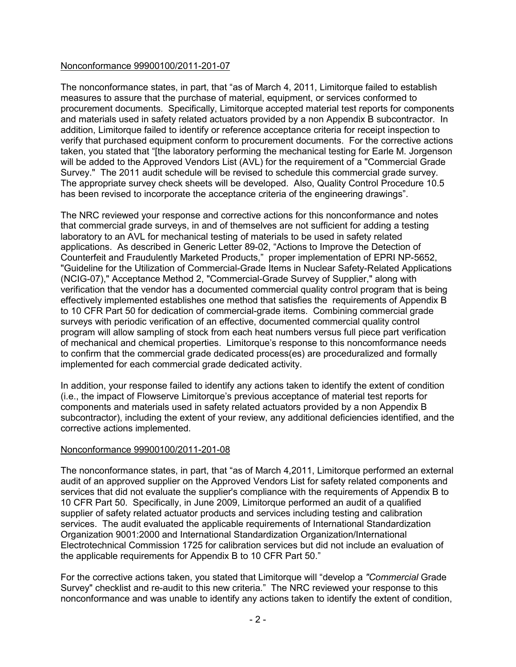# Nonconformance 99900100/2011-201-07

The nonconformance states, in part, that "as of March 4, 2011, Limitorque failed to establish measures to assure that the purchase of material, equipment, or services conformed to procurement documents. Specifically, Limitorque accepted material test reports for components and materials used in safety related actuators provided by a non Appendix B subcontractor. In addition, Limitorque failed to identify or reference acceptance criteria for receipt inspection to verify that purchased equipment conform to procurement documents. For the corrective actions taken, you stated that "[the laboratory performing the mechanical testing for Earle M. Jorgenson will be added to the Approved Vendors List (AVL) for the requirement of a "Commercial Grade Survey." The 2011 audit schedule will be revised to schedule this commercial grade survey. The appropriate survey check sheets will be developed. Also, Quality Control Procedure 10.5 has been revised to incorporate the acceptance criteria of the engineering drawings".

The NRC reviewed your response and corrective actions for this nonconformance and notes that commercial grade surveys, in and of themselves are not sufficient for adding a testing laboratory to an AVL for mechanical testing of materials to be used in safety related applications. As described in Generic Letter 89-02, "Actions to Improve the Detection of Counterfeit and Fraudulently Marketed Products," proper implementation of EPRI NP-5652, "Guideline for the Utilization of Commercial-Grade Items in Nuclear Safety-Related Applications (NCIG-07)," Acceptance Method 2, "Commercial-Grade Survey of Supplier," along with verification that the vendor has a documented commercial quality control program that is being effectively implemented establishes one method that satisfies the requirements of Appendix B to 10 CFR Part 50 for dedication of commercial-grade items. Combining commercial grade surveys with periodic verification of an effective, documented commercial quality control program will allow sampling of stock from each heat numbers versus full piece part verification of mechanical and chemical properties. Limitorque's response to this noncomformance needs to confirm that the commercial grade dedicated process(es) are proceduralized and formally implemented for each commercial grade dedicated activity.

In addition, your response failed to identify any actions taken to identify the extent of condition (i.e., the impact of Flowserve Limitorque's previous acceptance of material test reports for components and materials used in safety related actuators provided by a non Appendix B subcontractor), including the extent of your review, any additional deficiencies identified, and the corrective actions implemented.

# Nonconformance 99900100/2011-201-08

The nonconformance states, in part, that "as of March 4,2011, Limitorque performed an external audit of an approved supplier on the Approved Vendors List for safety related components and services that did not evaluate the supplier's compliance with the requirements of Appendix B to 10 CFR Part 50. Specifically, in June 2009, Limitorque performed an audit of a qualified supplier of safety related actuator products and services including testing and calibration services. The audit evaluated the applicable requirements of International Standardization Organization 9001:2000 and International Standardization Organization/International Electrotechnical Commission 1725 for calibration services but did not include an evaluation of the applicable requirements for Appendix B to 10 CFR Part 50."

For the corrective actions taken, you stated that Limitorque will "develop a *"Commercial* Grade Survey" checklist and re-audit to this new criteria." The NRC reviewed your response to this nonconformance and was unable to identify any actions taken to identify the extent of condition,